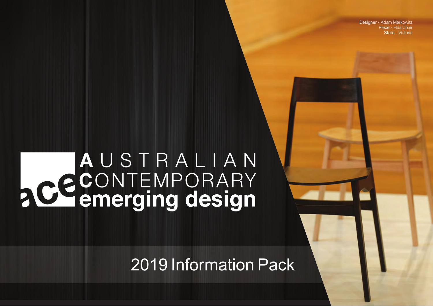Designer - Adam Markowitz Piece - Flea Chair State - Victoria

# AUSTRALIAN **PCCONTEMPORARY**

2019 Information Pack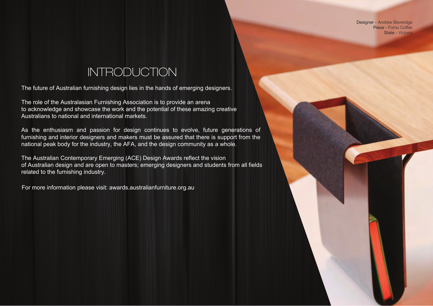Designer - Andrew Beveridge Piece - Fomu Coffee State - Victoria

# INTRODUCTION

The future of Australian furnishing design lies in the hands of emerging designers.

The role of the Australasian Furnishing Association is to provide an arena to acknowledge and showcase the work and the potential of these amazing creative Australians to national and international markets.

As the enthusiasm and passion for design continues to evolve, future generations of furnishing and interior designers and makers must be assured that there is support from the national peak body for the industry, the AFA, and the design community as a whole.

The Australian Contemporary Emerging (ACE) Design Awards reflect the vision of Australian design and are open to masters; emerging designers and students from all fields related to the furnishing industry.

For more information please visit: awards.australianfurniture.org.au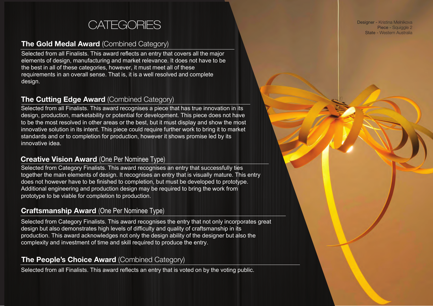# **CATEGORIES**

## The Gold Medal Award (Combined Category)

Selected from all Finalists. This award reflects an entry that covers all the major elements of design, manufacturing and market relevance. It does not have to be the best in all of these categories, however, it must meet all of these requirements in an overall sense. That is, it is a well resolved and complete design.

# The Cutting Edge Award (Combined Category)

Selected from all Finalists. This award recognises a piece that has true innovation in its design, production, marketability or potential for development. This piece does not have to be the most resolved in other areas or the best, but it must display and show the most innovative solution in its intent. This piece could require further work to bring it to market standards and or to completion for production, however it shows promise led by its innovative idea.

## Creative Vision Award (One Per Nominee Type)

Selected from Category Finalists. This award recognises an entry that successfully ties together the main elements of design. It recognises an entry that is visually mature. This entry does not however have to be finished to completion, but must be developed to prototype. Additional engineering and production design may be required to bring the work from prototype to be viable for completion to production.

## Craftsmanship Award (One Per Nominee Type)

Selected from Category Finalists. This award recognises the entry that not only incorporates great design but also demonstrates high levels of difficulty and quality of craftsmanship in its production. This award acknowledges not only the design ability of the designer but also the complexity and investment of time and skill required to produce the entry.

## The People's Choice Award (Combined Category)

Selected from all Finalists. This award reflects an entry that is voted on by the voting public.

Designer - Kristina Melnikova Piece - Squiggle 2 State - Western Australia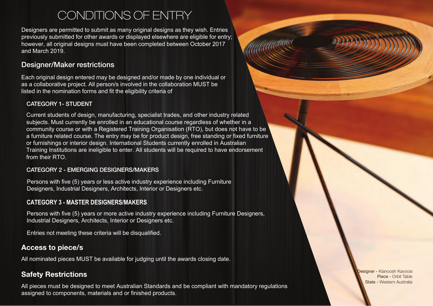# CONDITIONS OF ENTRY

Designers are permitted to submit as many original designs as they wish. Entries previously submitted for other awards or displayed elsewhere are eligible for entry; however, all original designs must have been completed between October 2017 and March 2019.

## Designer/Maker restrictions

Each original design entered may be designed and/or made by one individual or as a collaborative project. All person/s involved in the collaboration MUST be listed in the nomination forms and fit the eligibility criteria of

#### CATEGORY 1- STUDENT

Current students of design, manufacturing, specialist trades, and other industry related subjects. Must currently be enrolled in an educational course regardless of whether in a community course or with a Registered Training Organisation (RTO), but does not have to be a furniture related course. The entry may be for product design, free standing or fixed furniture or furnishings or interior design. International Students currently enrolled in Australian Training Institutions are ineligible to enter. All students will be required to have endorsement from their RTO.

#### CATEGORY 2 - EMERGING DESIGNERS/MAKERS

Persons with five (5) years or less active industry experience including Furniture Designers, Industrial Designers, Architects, Interior or Designers etc.

#### **CATEGORY 3 - MASTER DESIGNERS/MAKERS**

Persons with five (5) years or more active industry experience including Furniture Designers, Industrial Designers, Architects, Interior or Designers etc.

Entries not meeting these criteria will be disqualified.

# Access to piece/s

All nominated pieces MUST be available for judging until the awards closing date.

# Safety Restrictions

All pieces must be designed to meet Australian Standards and be compliant with mandatory regulations assigned to components, materials and or finished products.

Designer - Kianoosh Kavoosi Piece - Orbit Table State - Western Australia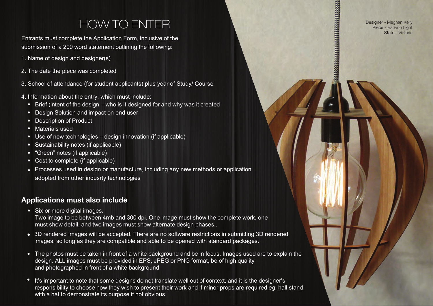# HOW TO ENTER

Designer - Meghan Kelly Piece - Barwon Light State - Victoria

*<u> MANAGERI SERGEN SERGEN SERGEN SERGEN SERGEN SERGEN SERGEN SERGEN SERGEN SERGEN SERGEN SERGEN SERGEN SERGEN S*</u>

Entrants must complete the Application Form, inclusive of the submission of a 200 word statement outlining the following:

- 1. Name of design and designer(s)
- 2. The date the piece was completed
- 3. School of attendance (for student applicants) plus year of Study/ Course
- 4. Information about the entry, which must include:
	- Brief (intent of the design who is it designed for and why was it created
	- Design Solution and impact on end user
	- Description of Product
	- Materials used
	- Use of new technologies design innovation (if applicable)
	- Sustainability notes (if applicable)
	- "Green" notes (if applicable)
	- Cost to complete (if applicable)
	- Processes used in design or manufacture, including any new methods or application adopted from other indusrty technologies

# Applications must also include

• Six or more digital images.

Two image to be between 4mb and 300 dpi. One image must show the complete work, one must show detail, and two images must show alternate design phases..

- 3D rendered images will be accepted. There are no software restrictions in submitting 3D rendered images, so long as they are compatible and able to be opened with standard packages.
- The photos must be taken in front of a white background and be in focus. Images used are to explain the design. ALL images must be provided in EPS, JPEG or PNG format, be of high quality and photographed in front of a white background
- It's important to note that some designs do not translate well out of context, and it is the designer's responsibility to choose how they wish to present their work and if minor props are required eg: hall stand with a hat to demonstrate its purpose if not obvious.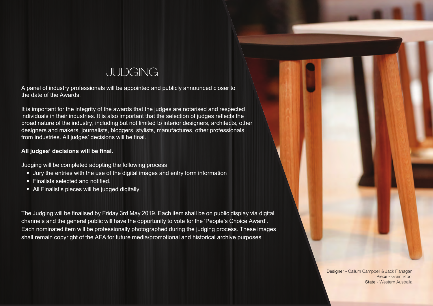# JUDGING

A panel of industry professionals will be appointed and publicly announced closer to the date of the Awards.

It is important for the integrity of the awards that the judges are notarised and respected individuals in their industries. It is also important that the selection of judges reflects the broad nature of the industry, including but not limited to interior designers, architects, other designers and makers, journalists, bloggers, stylists, manufactures, other professionals from industries. All judges' decisions will be final.

#### **All judges' decisions will be final.**

Judging will be completed adopting the following process

- Jury the entries with the use of the digital images and entry form information
- Finalists selected and notified.
- All Finalist's pieces will be judged digitally.

The Judging will be finalised by Friday 3rd May 2019. Each item shall be on public display via digital channels and the general public will have the opportunity to vote for the 'People's Choice Award'. Each nominated item will be professionally photographed during the judging process. These images shall remain copyright of the AFA for future media/promotional and historical archive purposes

> Designer - Callum Campbell & Jack Flanagan Piece - Grain Stool State - Western Australia